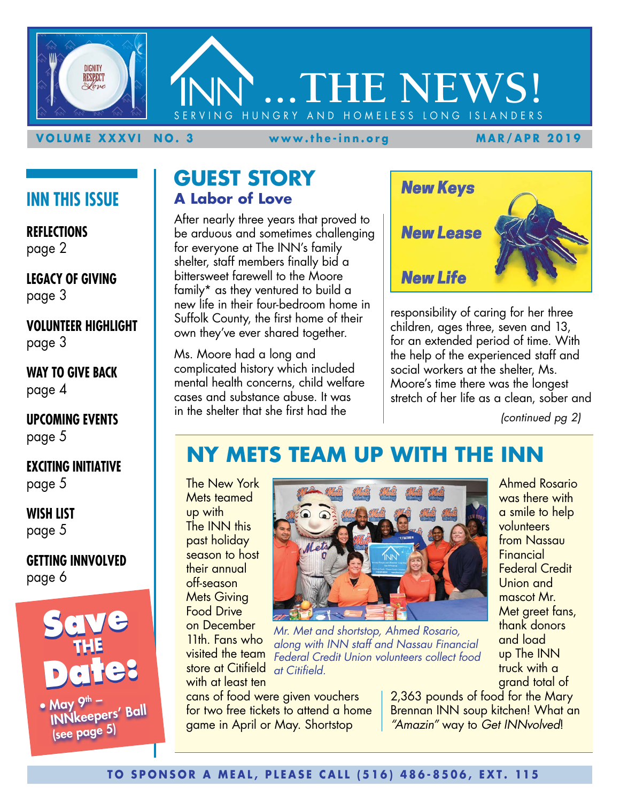

### **VOLUME XXXVI NO. 3 www.the-inn.org MAR/APR 2019**

### **INN THIS ISSUE**

**REFLECTIONS** page 2

**LEGACY OF GIVING** page 3

**VOLUNTEER HIGHLIGHT** page 3

**WAY TO GIVE BACK** page 4

**UPCOMING EVENTS** page 5

**EXCITING INITIATIVE** page 5

**WISH LIST** page 5

**GETTING INNVOLVED** page 6



INNkeepers' Ball (see page 5)

### **GUEST STORY A Labor of Love**

After nearly three years that proved to be arduous and sometimes challenging for everyone at The INN's family shelter, staff members finally bid a bittersweet farewell to the Moore family\* as they ventured to build a new life in their four-bedroom home in Suffolk County, the first home of their own they've ever shared together.

Ms. Moore had a long and complicated history which included mental health concerns, child welfare cases and substance abuse. It was in the shelter that she first had the



responsibility of caring for her three children, ages three, seven and 13, for an extended period of time. With the help of the experienced staff and social workers at the shelter, Ms. Moore's time there was the longest stretch of her life as a clean, sober and

*(continued pg 2)*

### **NY METS TEAM UP WITH THE INN**

The New York Mets teamed up with The INN this past holiday season to host their annual off-season Mets Giving Food Drive on December

11th. Fans who visited the team store at Citifield with at least ten



*Mr. Met and shortstop, Ahmed Rosario, along with INN staff and Nassau Financial Federal Credit Union volunteers collect food at Citifield.*

cans of food were given vouchers for two free tickets to attend a home game in April or May. Shortstop

Ahmed Rosario was there with a smile to help volunteers from Nassau **Financial** Federal Credit Union and mascot Mr. Met greet fans, thank donors and load up The INN truck with a grand total of

2,363 pounds of food for the Mary Brennan INN soup kitchen! What an *"Amazin"* way to *Get INNvolved*!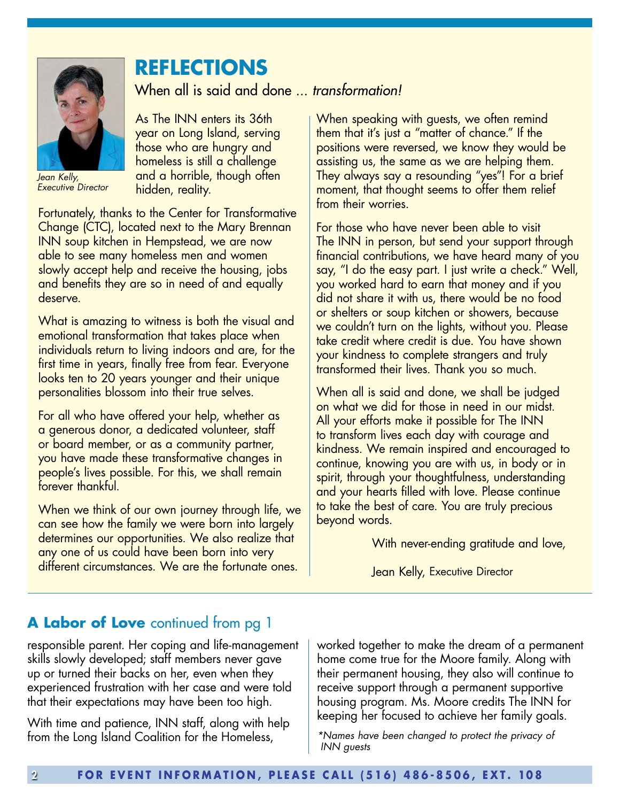

*Jean Kelly, Executive Director* 

# **REFLECTIONS**

When all is said and done ... *transformation!*

As The INN enters its 36th year on Long Island, serving those who are hungry and homeless is still a challenge and a horrible, though often hidden, reality.

Fortunately, thanks to the Center for Transformative Change (CTC), located next to the Mary Brennan INN soup kitchen in Hempstead, we are now able to see many homeless men and women slowly accept help and receive the housing, jobs and benefits they are so in need of and equally deserve.

What is amazing to witness is both the visual and emotional transformation that takes place when individuals return to living indoors and are, for the first time in years, finally free from fear. Everyone looks ten to 20 years younger and their unique personalities blossom into their true selves.

For all who have offered your help, whether as a generous donor, a dedicated volunteer, staff or board member, or as a community partner, you have made these transformative changes in people's lives possible. For this, we shall remain forever thankful.

When we think of our own journey through life, we can see how the family we were born into largely determines our opportunities. We also realize that any one of us could have been born into very different circumstances. We are the fortunate ones.

When speaking with guests, we often remind them that it's just a "matter of chance." If the positions were reversed, we know they would be assisting us, the same as we are helping them. They always say a resounding "yes"! For a brief moment, that thought seems to offer them relief from their worries.

For those who have never been able to visit The INN in person, but send your support through financial contributions, we have heard many of you say, "I do the easy part. I just write a check." Well, you worked hard to earn that money and if you did not share it with us, there would be no food or shelters or soup kitchen or showers, because we couldn't turn on the lights, without you. Please take credit where credit is due. You have shown your kindness to complete strangers and truly transformed their lives. Thank you so much.

When all is said and done, we shall be judged on what we did for those in need in our midst. All your efforts make it possible for The INN to transform lives each day with courage and kindness. We remain inspired and encouraged to continue, knowing you are with us, in body or in spirit, through your thoughtfulness, understanding and your hearts filled with love. Please continue to take the best of care. You are truly precious beyond words.

With never-ending gratitude and love,

Jean Kelly, Executive Director

### **A Labor of Love** continued from pg 1

responsible parent. Her coping and life-management skills slowly developed; staff members never gave up or turned their backs on her, even when they experienced frustration with her case and were told that their expectations may have been too high.

With time and patience, INN staff, along with help from the Long Island Coalition for the Homeless,

worked together to make the dream of a permanent home come true for the Moore family. Along with their permanent housing, they also will continue to receive support through a permanent supportive housing program. Ms. Moore credits The INN for keeping her focused to achieve her family goals.

*\*Names have been changed to protect the privacy of INN guests*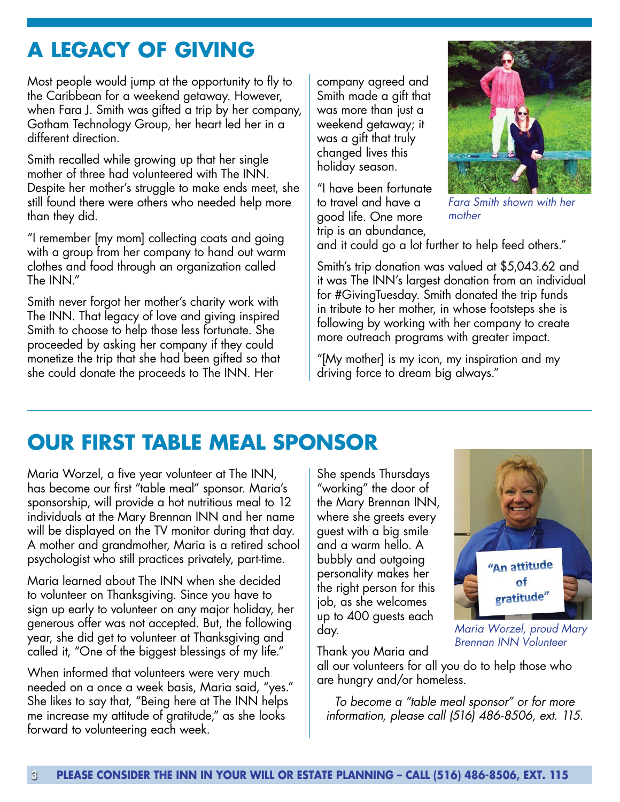# **A LEGACY OF GIVING**

Most people would jump at the opportunity to fly to the Caribbean for a weekend getaway. However, when Fara J. Smith was gifted a trip by her company, Gotham Technology Group, her heart led her in a different direction.

Smith recalled while growing up that her single mother of three had volunteered with The INN. Despite her mother's struggle to make ends meet, she still found there were others who needed help more than they did.

"I remember [my mom] collecting coats and going with a group from her company to hand out warm clothes and food through an organization called The INN."

Smith never forgot her mother's charity work with The INN. That legacy of love and giving inspired Smith to choose to help those less fortunate. She proceeded by asking her company if they could monetize the trip that she had been gifted so that she could donate the proceeds to The INN. Her

company agreed and Smith made a gift that was more than just a weekend getaway; it was a gift that truly changed lives this holiday season.

"I have been fortunate to travel and have a good life. One more trip is an abundance,



*Fara Smith shown with her mother*

and it could go a lot further to help feed others."

Smith's trip donation was valued at \$5,043.62 and it was The INN's largest donation from an individual for #GivingTuesday. Smith donated the trip funds in tribute to her mother, in whose footsteps she is following by working with her company to create more outreach programs with greater impact.

"[My mother] is my icon, my inspiration and my driving force to dream big always."

# **OUR FIRST TABLE MEAL SPONSOR**

Maria Worzel, a five year volunteer at The INN, has become our first "table meal" sponsor. Maria's sponsorship, will provide a hot nutritious meal to 12 individuals at the Mary Brennan INN and her name will be displayed on the TV monitor during that day. A mother and grandmother, Maria is a retired school psychologist who still practices privately, part-time.

Maria learned about The INN when she decided to volunteer on Thanksgiving. Since you have to sign up early to volunteer on any major holiday, her generous offer was not accepted. But, the following year, she did get to volunteer at Thanksgiving and called it, "One of the biggest blessings of my life."

When informed that volunteers were very much needed on a once a week basis, Maria said, "yes." She likes to say that, "Being here at The INN helps me increase my attitude of gratitude," as she looks forward to volunteering each week.

She spends Thursdays "working" the door of the Mary Brennan INN, where she greets every guest with a big smile and a warm hello. A bubbly and outgoing personality makes her the right person for this job, as she welcomes up to 400 guests each day.



*Maria Worzel, proud Mary Brennan INN Volunteer*

Thank you Maria and

all our volunteers for all you do to help those who are hungry and/or homeless.

*To become a "table meal sponsor" or for more information, please call (516) 486-8506, ext. 115.*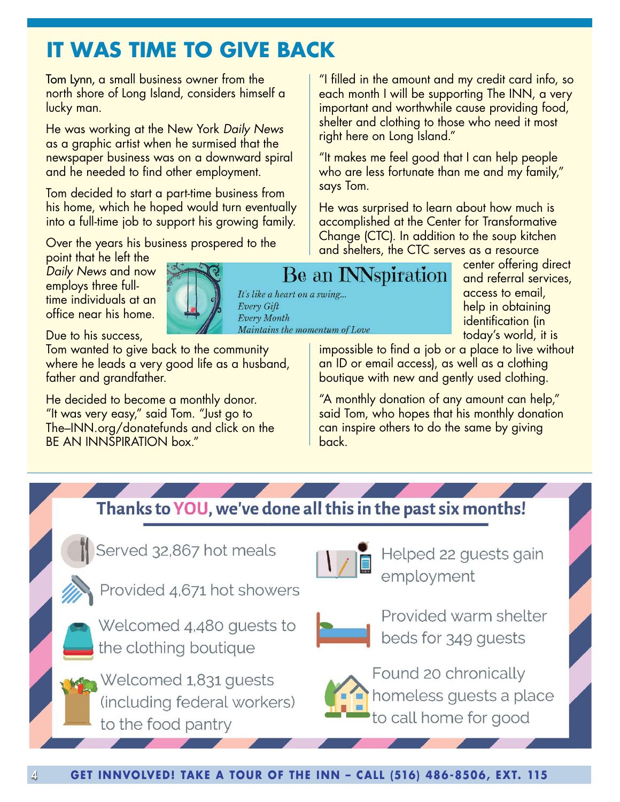# **IT WAS TIME TO GIVE BACK**

Tom Lynn, a small business owner from the north shore of Long Island, considers himself a lucky man.

He was working at the New York *Daily News* as a graphic artist when he surmised that the newspaper business was on a downward spiral and he needed to find other employment.

Tom decided to start a part-time business from his home, which he hoped would turn eventually into a full-time job to support his growing family.

Over the years his business prospered to the

"I filled in the amount and my credit card info, so each month I will be supporting The INN, a very important and worthwhile cause providing food, shelter and clothing to those who need it most right here on Long Island."

"It makes me feel good that I can help people who are less fortunate than me and my family," says Tom.

He was surprised to learn about how much is accomplished at the Center for Transformative Change (CTC). In addition to the soup kitchen and shelters, the CTC serves as a resource

point that he left the *Daily News* and now employs three fulltime individuals at an office near his home.



Due to his success,

Tom wanted to give back to the community where he leads a very good life as a husband, father and grandfather.

He decided to become a monthly donor. "It was very easy," said Tom. "Just go to The–INN.org/donatefunds and click on the BE AN INNSPIRATION box."

# Be an INNspiration

Maintains the momentum of Love

center offering direct and referral services, access to email, help in obtaining identification (in today's world, it is

impossible to find a job or a place to live without an ID or email access), as well as a clothing boutique with new and gently used clothing.

"A monthly donation of any amount can help," said Tom, who hopes that his monthly donation can inspire others to do the same by giving back.

## Thanks to YOU, we've done all this in the past six months!

It's like a heart on a swing...

Every Gift Every Month

Served 32,867 hot meals









Helped 22 guests gain employment



Provided warm shelter beds for 349 guests



Found 20 chronically homeless guests a place to call home for good

4 **GET INNVOLVED! TAKE A TOUR OF THE INN - CALL (516) 486-8506, EXT. 115**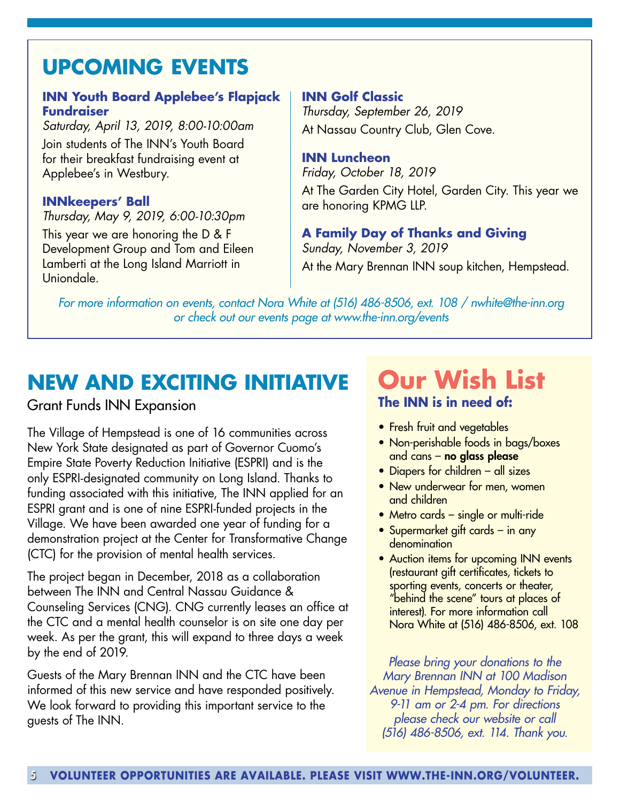# **UPCOMING EVENTS**

### **INN Youth Board Applebee's Flapjack Fundraiser**

*Saturday, April 13, 2019, 8:00-10:00am* Join students of The INN's Youth Board for their breakfast fundraising event at Applebee's in Westbury.

### **INNkeepers' Ball**

*Thursday, May 9, 2019, 6:00-10:30pm*

This year we are honoring the D & F Development Group and Tom and Eileen Lamberti at the Long Island Marriott in Uniondale.

**INN Golf Classic** *Thursday, September 26, 2019*  At Nassau Country Club, Glen Cove.

### **INN Luncheon**

*Friday, October 18, 2019*  At The Garden City Hotel, Garden City. This year we are honoring KPMG LLP.

**A Family Day of Thanks and Giving**  *Sunday, November 3, 2019*  At the Mary Brennan INN soup kitchen, Hempstead.

*For more information on events, contact Nora White at (516) 486-8506, ext. 108 / nwhite@the-inn.org or check out our events page at www.the-inn.org/events*

# **NEW AND EXCITING INITIATIVE**

### Grant Funds INN Expansion

The Village of Hempstead is one of 16 communities across New York State designated as part of Governor Cuomo's Empire State Poverty Reduction Initiative (ESPRI) and is the only ESPRI-designated community on Long Island. Thanks to funding associated with this initiative, The INN applied for an ESPRI grant and is one of nine ESPRI-funded projects in the Village. We have been awarded one year of funding for a demonstration project at the Center for Transformative Change (CTC) for the provision of mental health services.

The project began in December, 2018 as a collaboration between The INN and Central Nassau Guidance & Counseling Services (CNG). CNG currently leases an office at the CTC and a mental health counselor is on site one day per week. As per the grant, this will expand to three days a week by the end of 2019.

Guests of the Mary Brennan INN and the CTC have been informed of this new service and have responded positively. We look forward to providing this important service to the guests of The INN.

# **Our Wish List The INN is in need of:**

- Fresh fruit and vegetables
- Non-perishable foods in bags/boxes and cans – no glass please
- Diapers for children all sizes
- New underwear for men, women and children
- Metro cards single or multi-ride
- Supermarket gift cards in any denomination
- Auction items for upcoming INN events (restaurant gift certificates, tickets to sporting events, concerts or theater, "behind the scene" tours at places of interest). For more information call Nora White at (516) 486-8506, ext. 108

*Please bring your donations to the Mary Brennan INN at 100 Madison Avenue in Hempstead, Monday to Friday, 9-11 am or 2-4 pm. For directions please check our website or call (516) 486-8506, ext. 114. Thank you.*